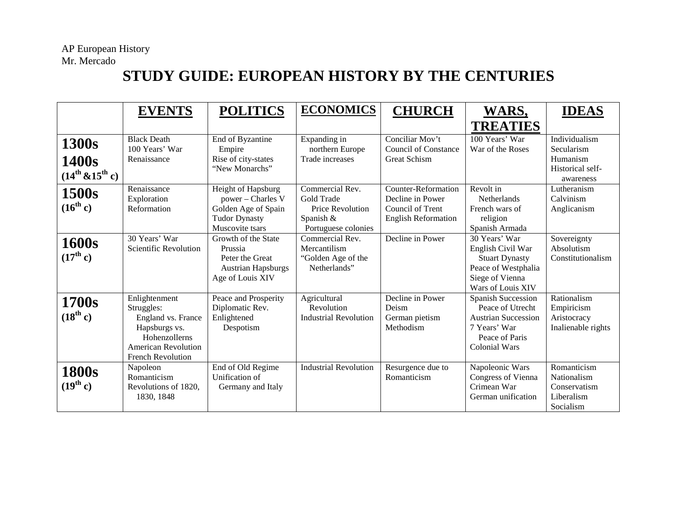## **STUDY GUIDE: EUROPEAN HISTORY BY THE CENTURIES**

|                                            | <b>EVENTS</b>                                                                                                                          | <b>POLITICS</b>                                                                                           | <b>ECONOMICS</b>                                                                      | <b>CHURCH</b>                                                                             | WARS,<br><b>TREATIES</b>                                                                                                   | <b>IDEAS</b>                                                             |
|--------------------------------------------|----------------------------------------------------------------------------------------------------------------------------------------|-----------------------------------------------------------------------------------------------------------|---------------------------------------------------------------------------------------|-------------------------------------------------------------------------------------------|----------------------------------------------------------------------------------------------------------------------------|--------------------------------------------------------------------------|
| 1300s<br>1400s<br>$(14^{th} \& 15^{th} c)$ | <b>Black Death</b><br>100 Years' War<br>Renaissance                                                                                    | End of Byzantine<br>Empire<br>Rise of city-states<br>"New Monarchs"                                       | Expanding in<br>northern Europe<br>Trade increases                                    | Conciliar Mov't<br><b>Council of Constance</b><br>Great Schism                            | 100 Years' War<br>War of the Roses                                                                                         | Individualism<br>Secularism<br>Humanism<br>Historical self-<br>awareness |
| 1500s<br>$(16^{th} c)$                     | Renaissance<br>Exploration<br>Reformation                                                                                              | Height of Hapsburg<br>power - Charles V<br>Golden Age of Spain<br><b>Tudor Dynasty</b><br>Muscovite tsars | Commercial Rev.<br>Gold Trade<br>Price Revolution<br>Spanish &<br>Portuguese colonies | Counter-Reformation<br>Decline in Power<br>Council of Trent<br><b>English Reformation</b> | Revolt in<br><b>Netherlands</b><br>French wars of<br>religion<br>Spanish Armada                                            | Lutheranism<br>Calvinism<br>Anglicanism                                  |
| 1600s<br>$(17^{th} c)$                     | 30 Years' War<br>Scientific Revolution                                                                                                 | Growth of the State<br>Prussia<br>Peter the Great<br><b>Austrian Hapsburgs</b><br>Age of Louis XIV        | Commercial Rev.<br>Mercantilism<br>"Golden Age of the<br>Netherlands"                 | Decline in Power                                                                          | 30 Years' War<br>English Civil War<br><b>Stuart Dynasty</b><br>Peace of Westphalia<br>Siege of Vienna<br>Wars of Louis XIV | Sovereignty<br>Absolutism<br>Constitutionalism                           |
| 1700s<br>$(18^{th} c)$                     | Enlightenment<br>Struggles:<br>England vs. France<br>Hapsburgs vs.<br>Hohenzollerns<br><b>American Revolution</b><br>French Revolution | Peace and Prosperity<br>Diplomatic Rev.<br>Enlightened<br>Despotism                                       | Agricultural<br>Revolution<br><b>Industrial Revolution</b>                            | Decline in Power<br>Deism<br>German pietism<br>Methodism                                  | Spanish Succession<br>Peace of Utrecht<br><b>Austrian Succession</b><br>7 Years' War<br>Peace of Paris<br>Colonial Wars    | Rationalism<br>Empiricism<br>Aristocracy<br>Inalienable rights           |
| <b>1800s</b><br>$(19^{th} c)$              | Napoleon<br>Romanticism<br>Revolutions of 1820,<br>1830, 1848                                                                          | End of Old Regime<br>Unification of<br>Germany and Italy                                                  | <b>Industrial Revolution</b>                                                          | Resurgence due to<br>Romanticism                                                          | Napoleonic Wars<br>Congress of Vienna<br>Crimean War<br>German unification                                                 | Romanticism<br>Nationalism<br>Conservatism<br>Liberalism<br>Socialism    |